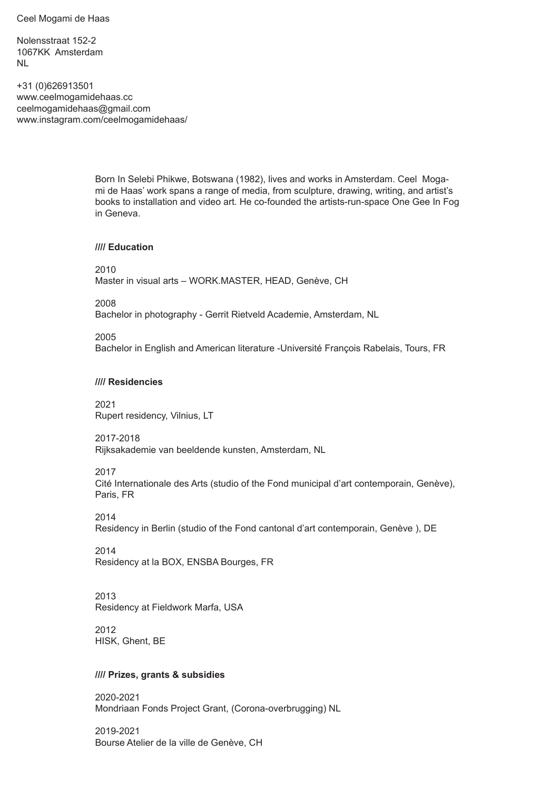Ceel Mogami de Haas

Nolensstraat 152-2 1067KK Amsterdam NL

+31 (0)626913501 www.ceelmogamidehaas.cc ceelmogamidehaas@gmail.com www.instagram.com/ceelmogamidehaas/

> Born In Selebi Phikwe, Botswana (1982), lives and works in Amsterdam. Ceel Mogami de Haas' work spans a range of media, from sculpture, drawing, writing, and artist's books to installation and video art. He co-founded the artists-run-space One Gee In Fog in Geneva.

#### **//// Education**

2010 Master in visual arts – WORK.MASTER, HEAD, Genève, CH

2008

Bachelor in photography - Gerrit Rietveld Academie, Amsterdam, NL

2005

Bachelor in English and American literature -Université François Rabelais, Tours, FR

#### **//// Residencies**

2021 Rupert residency, Vilnius, LT

2017-2018

Rijksakademie van beeldende kunsten, Amsterdam, NL

2017

Cité Internationale des Arts (studio of the Fond municipal d'art contemporain, Genève), Paris, FR

2014

Residency in Berlin (studio of the Fond cantonal d'art contemporain, Genève ), DE

2014 Residency at la BOX, ENSBA Bourges, FR

2013

Residency at Fieldwork Marfa, USA

2012 HISK, Ghent, BE

#### **//// Prizes, grants & subsidies**

2020-2021 Mondriaan Fonds Project Grant, (Corona-overbrugging) NL

2019-2021 Bourse Atelier de la ville de Genève, CH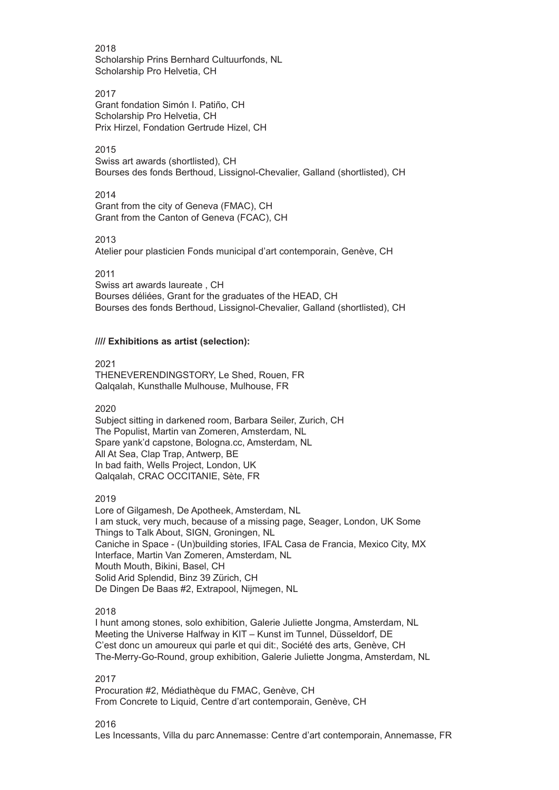2018 Scholarship Prins Bernhard Cultuurfonds, NL Scholarship Pro Helvetia, CH

2017

Grant fondation Simón I. Patiño, CH Scholarship Pro Helvetia, CH Prix Hirzel, Fondation Gertrude Hizel, CH

2015

Swiss art awards (shortlisted), CH Bourses des fonds Berthoud, Lissignol-Chevalier, Galland (shortlisted), CH

2014

Grant from the city of Geneva (FMAC), CH Grant from the Canton of Geneva (FCAC), CH

2013

Atelier pour plasticien Fonds municipal d'art contemporain, Genève, CH

2011

Swiss art awards laureate , CH Bourses déliées, Grant for the graduates of the HEAD, CH Bourses des fonds Berthoud, Lissignol-Chevalier, Galland (shortlisted), CH

# **//// Exhibitions as artist (selection):**

2021 THENEVERENDINGSTORY, Le Shed, Rouen, FR Qalqalah, Kunsthalle Mulhouse, Mulhouse, FR

2020

Subject sitting in darkened room, Barbara Seiler, Zurich, CH The Populist, Martin van Zomeren, Amsterdam, NL Spare yank'd capstone, Bologna.cc, Amsterdam, NL All At Sea, Clap Trap, Antwerp, BE In bad faith, Wells Project, London, UK Qalqalah, CRAC OCCITANIE, Sète, FR

2019

Lore of Gilgamesh, De Apotheek, Amsterdam, NL I am stuck, very much, because of a missing page, Seager, London, UK Some Things to Talk About, SIGN, Groningen, NL Caniche in Space - (Un)building stories, IFAL Casa de Francia, Mexico City, MX Interface, Martin Van Zomeren, Amsterdam, NL Mouth Mouth, Bikini, Basel, CH Solid Arid Splendid, Binz 39 Zürich, CH De Dingen De Baas #2, Extrapool, Nijmegen, NL

# 2018

I hunt among stones, solo exhibition, Galerie Juliette Jongma, Amsterdam, NL Meeting the Universe Halfway in KIT – Kunst im Tunnel, Düsseldorf, DE C'est donc un amoureux qui parle et qui dit:, Société des arts, Genève, CH The-Merry-Go-Round, group exhibition, Galerie Juliette Jongma, Amsterdam, NL

2017

Procuration #2, Médiathèque du FMAC, Genève, CH From Concrete to Liquid, Centre d'art contemporain, Genève, CH

2016

Les Incessants, Villa du parc Annemasse: Centre d'art contemporain, Annemasse, FR